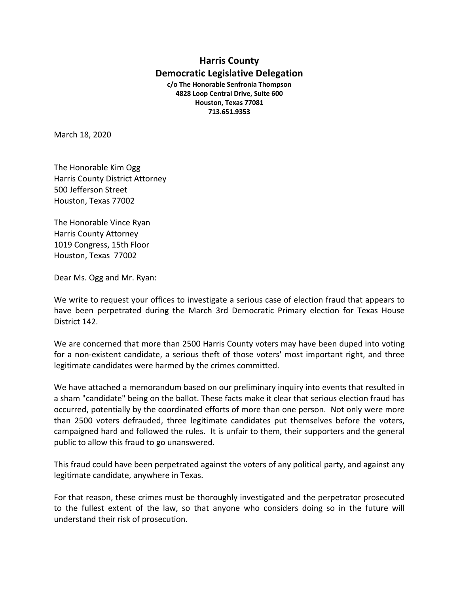## **Harris County Democratic Legislative Delegation c/o The Honorable Senfronia Thompson 4828 Loop Central Drive, Suite 600 Houston, Texas 77081 713.651.9353**

March 18, 2020

The Honorable Kim Ogg Harris County District Attorney 500 Jefferson Street Houston, Texas 77002

The Honorable Vince Ryan Harris County Attorney 1019 Congress, 15th Floor Houston, Texas 77002

Dear Ms. Ogg and Mr. Ryan:

We write to request your offices to investigate a serious case of election fraud that appears to have been perpetrated during the March 3rd Democratic Primary election for Texas House District 142.

We are concerned that more than 2500 Harris County voters may have been duped into voting for a non-existent candidate, a serious theft of those voters' most important right, and three legitimate candidates were harmed by the crimes committed.

We have attached a memorandum based on our preliminary inquiry into events that resulted in a sham "candidate" being on the ballot. These facts make it clear that serious election fraud has occurred, potentially by the coordinated efforts of more than one person. Not only were more than 2500 voters defrauded, three legitimate candidates put themselves before the voters, campaigned hard and followed the rules. It is unfair to them, their supporters and the general public to allow this fraud to go unanswered.

This fraud could have been perpetrated against the voters of any political party, and against any legitimate candidate, anywhere in Texas.

For that reason, these crimes must be thoroughly investigated and the perpetrator prosecuted to the fullest extent of the law, so that anyone who considers doing so in the future will understand their risk of prosecution.